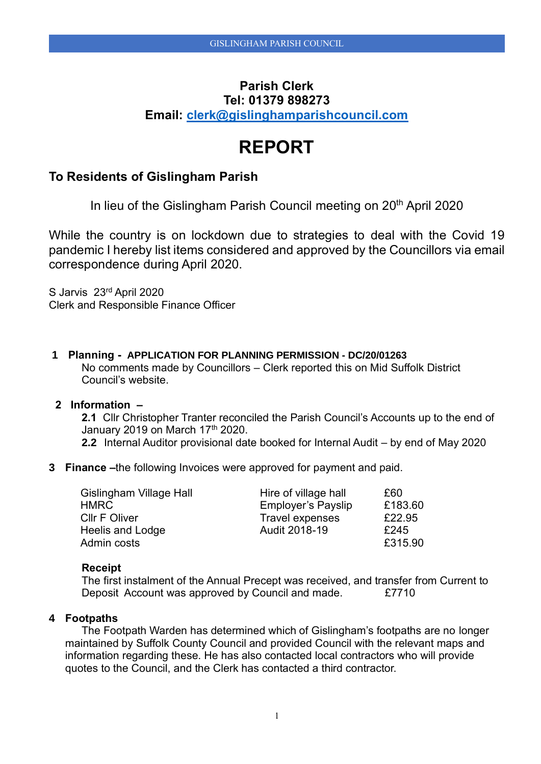## **Parish Clerk Tel: 01379 898273 Email: [clerk@gislinghamparishcouncil.com](mailto:clerk@gislinghamparishcouncil.com)**

# **REPORT**

### **To Residents of Gislingham Parish**

In lieu of the Gislingham Parish Council meeting on 20<sup>th</sup> April 2020

While the country is on lockdown due to strategies to deal with the Covid 19 pandemic I hereby list items considered and approved by the Councillors via email correspondence during April 2020.

S Jarvis 23rd April 2020 Clerk and Responsible Finance Officer

**1 Planning - APPLICATION FOR PLANNING PERMISSION - DC/20/01263** No comments made by Councillors – Clerk reported this on Mid Suffolk District Council's website.

#### **2 Information –**

**2.1** Cllr Christopher Tranter reconciled the Parish Council's Accounts up to the end of January 2019 on March  $17<sup>th</sup>$  2020.

- **2.2** Internal Auditor provisional date booked for Internal Audit by end of May 2020
- **3 Finance –**the following Invoices were approved for payment and paid.

| Gislingham Village Hall | Hire of village hall      | £60     |
|-------------------------|---------------------------|---------|
| <b>HMRC</b>             | <b>Employer's Payslip</b> | £183.60 |
| <b>CIIr F Oliver</b>    | <b>Travel expenses</b>    | £22.95  |
| Heelis and Lodge        | Audit 2018-19             | £245    |
| Admin costs             |                           | £315.90 |

#### **Receipt**

The first instalment of the Annual Precept was received, and transfer from Current to Deposit Account was approved by Council and made. £7710

#### **4 Footpaths**

The Footpath Warden has determined which of Gislingham's footpaths are no longer maintained by Suffolk County Council and provided Council with the relevant maps and information regarding these. He has also contacted local contractors who will provide quotes to the Council, and the Clerk has contacted a third contractor.